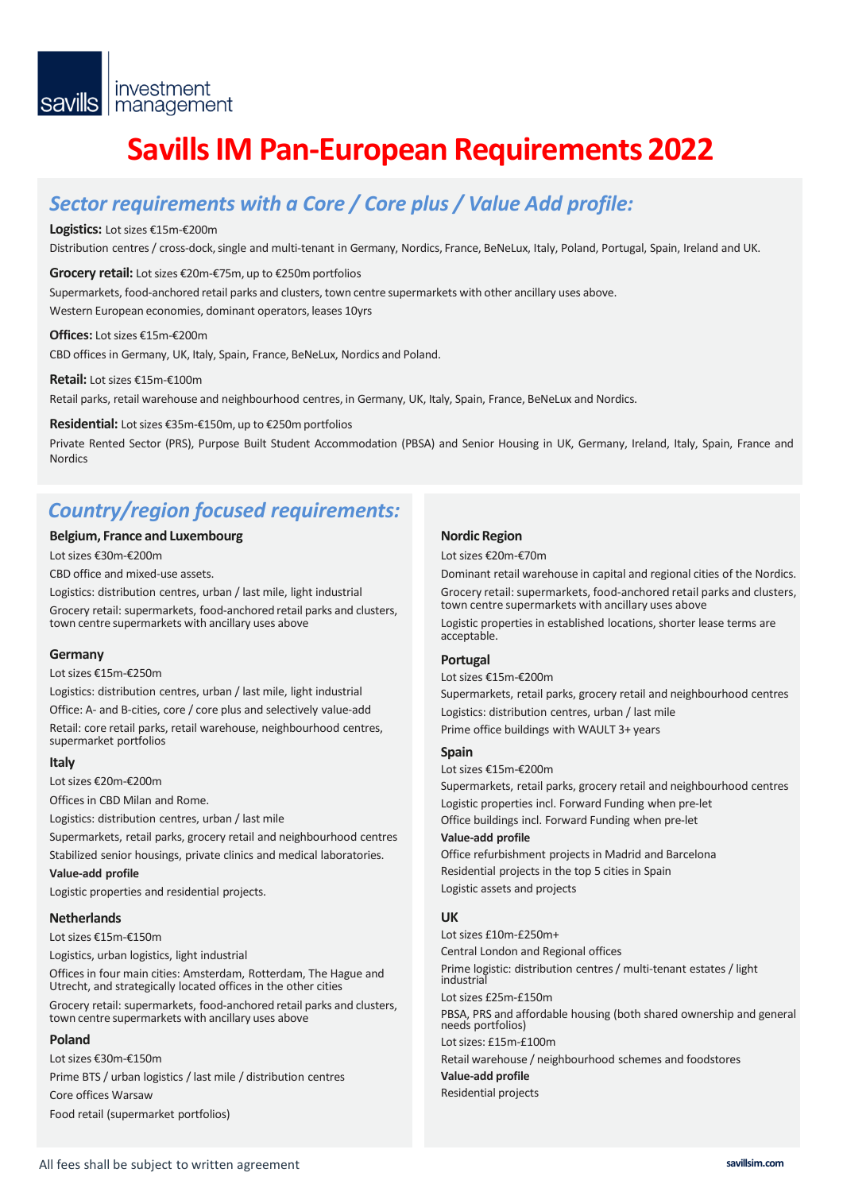# **Savills IM Pan-European Requirements 2022**

## *Sector requirements with a Core / Core plus / Value Add profile:*

#### **Logistics:** Lot sizes €15m-€200m

Distribution centres / cross-dock, single and multi-tenant in Germany, Nordics, France, BeNeLux, Italy, Poland, Portugal, Spain, Ireland and UK.

#### **Grocery retail:** Lot sizes €20m-€75m, up to €250m portfolios

Supermarkets, food-anchored retail parks and clusters, town centre supermarkets with other ancillary uses above. Western European economies, dominant operators, leases 10yrs

#### **Offices:** Lot sizes €15m-€200m

CBD offices in Germany, UK, Italy, Spain, France, BeNeLux, Nordics and Poland.

#### **Retail:** Lot sizes €15m-€100m

Retail parks, retail warehouse and neighbourhood centres, in Germany, UK, Italy, Spain, France, BeNeLux and Nordics.

#### **Residential:** Lot sizes €35m-€150m, up to €250m portfolios

Private Rented Sector (PRS), Purpose Built Student Accommodation (PBSA) and Senior Housing in UK, Germany, Ireland, Italy, Spain, France and **Nordics** 

### *Country/region focused requirements:*

#### **Belgium, France and Luxembourg**

Lot sizes €30m-€200m

CBD office and mixed-use assets.

Logistics: distribution centres, urban / last mile, light industrial Grocery retail: supermarkets, food-anchored retail parks and clusters, town centre supermarkets with ancillary uses above

#### **Germany**

Lot sizes €15m-€250m

Logistics: distribution centres, urban / last mile, light industrial Office: A- and B-cities, core / core plus and selectively value-add Retail: core retail parks, retail warehouse, neighbourhood centres, supermarket portfolios

#### **Italy**

Lot sizes €20m-€200m

Offices in CBD Milan and Rome.

Logistics: distribution centres, urban / last mile

Supermarkets, retail parks, grocery retail and neighbourhood centres

Stabilized senior housings, private clinics and medical laboratories.

#### **Value-add profile**

Logistic properties and residential projects.

#### **Netherlands**

Lot sizes €15m-€150m

Logistics, urban logistics, light industrial

Offices in four main cities: Amsterdam, Rotterdam, The Hague and Utrecht, and strategically located offices in the other cities Grocery retail: supermarkets, food-anchored retail parks and clusters, town centre supermarkets with ancillary uses above

#### **Poland**

Lot sizes €30m-€150m Prime BTS / urban logistics / last mile / distribution centres Core offices Warsaw Food retail (supermarket portfolios)

#### **Nordic Region**

Lot sizes €20m-€70m

Dominant retail warehouse in capital and regional cities of the Nordics. Grocery retail: supermarkets, food-anchored retail parks and clusters, town centre supermarkets with ancillary uses above

Logistic properties in established locations, shorter lease terms are acceptable.

#### **Portugal**

Lot sizes €15m-€200m Supermarkets, retail parks, grocery retail and neighbourhood centres Logistics: distribution centres, urban / last mile Prime office buildings with WAULT 3+ years

#### **Spain**

Lot sizes €15m-€200m

Supermarkets, retail parks, grocery retail and neighbourhood centres Logistic properties incl. Forward Funding when pre-let Office buildings incl. Forward Funding when pre-let **Value-add profile**

Office refurbishment projects in Madrid and Barcelona Residential projects in the top 5 cities in Spain Logistic assets and projects

### **UK**

Lot sizes £10m-£250m+ Central London and Regional offices Prime logistic: distribution centres / multi-tenant estates / light industria Lot sizes £25m-£150m PBSA, PRS and affordable housing (both shared ownership and general needs portfolios) Lot sizes: £15m-£100m Retail warehouse / neighbourhood schemes and foodstores **Value-add profile** Residential projects